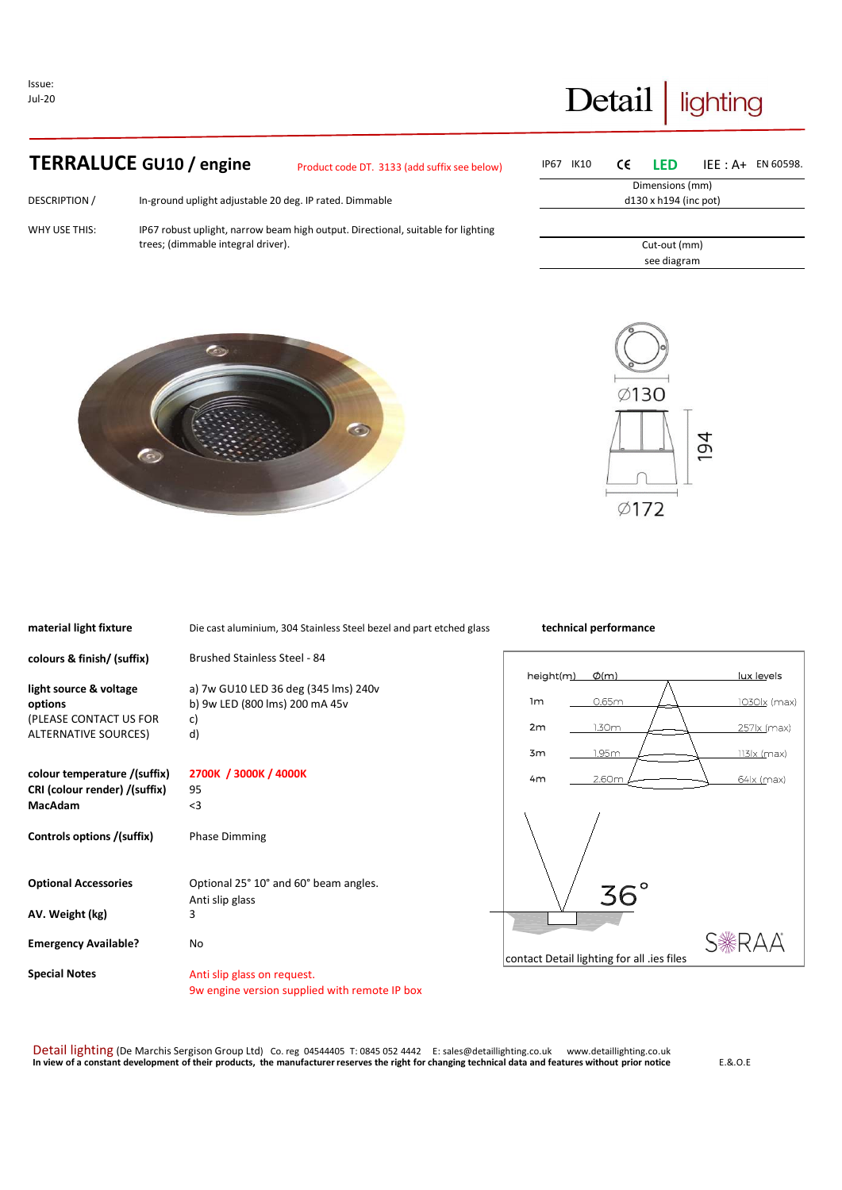Issue: Jul-20

Ï

## Detail lighting

## **TERRALUCE GU10 / engine** Product code DT. 3133 (add suffix see below

DESCRIPTION / In-ground uplight adjustable 20 deg. IP rated. Dimmable

WHY USE THIS: IP67 robust uplight, narrow beam high output. Directional, suitable for lighting trees; (dimmable integral driver).

| ı) | IP67 IK10                    |                             |  |  | $CE$ LED IEE: A+ EN 60598. |  |  |
|----|------------------------------|-----------------------------|--|--|----------------------------|--|--|
|    |                              | Dimensions (mm)             |  |  |                            |  |  |
|    | $d130 \times h194$ (inc pot) |                             |  |  |                            |  |  |
|    |                              |                             |  |  |                            |  |  |
|    |                              |                             |  |  |                            |  |  |
|    |                              | Cut-out (mm)<br>see diagram |  |  |                            |  |  |
|    |                              |                             |  |  |                            |  |  |
|    |                              |                             |  |  |                            |  |  |





| material light fixture        | Die cast aluminium, 304 Stainless Steel bezel and part etched glass | technical performance                      |
|-------------------------------|---------------------------------------------------------------------|--------------------------------------------|
| colours & finish/ (suffix)    | <b>Brushed Stainless Steel - 84</b>                                 |                                            |
|                               |                                                                     | lux levels<br>height(m)<br>$\phi$ (m)      |
| light source & voltage        | a) 7w GU10 LED 36 deg (345 lms) 240v                                | 0.65m<br>1 <sub>m</sub>                    |
| options                       | b) 9w LED (800 lms) 200 mA 45v                                      | <u>1030lx</u> (max)                        |
| (PLEASE CONTACT US FOR        | c)                                                                  | 2m<br>257 (max)<br>1.30m                   |
| ALTERNATIVE SOURCES)          | d)                                                                  |                                            |
|                               |                                                                     | 1.95m<br>3m<br>113 (max)                   |
| colour temperature /(suffix)  | 2700K / 3000K / 4000K                                               | 2.60m<br>4m<br>64   x (max)                |
| CRI (colour render) /(suffix) | 95                                                                  |                                            |
| <b>MacAdam</b>                | $3$                                                                 |                                            |
|                               |                                                                     |                                            |
| Controls options /(suffix)    | <b>Phase Dimming</b>                                                |                                            |
|                               |                                                                     |                                            |
| <b>Optional Accessories</b>   | Optional 25° 10° and 60° beam angles.                               |                                            |
|                               | Anti slip glass                                                     | $36^{\circ}$                               |
| AV. Weight (kg)               | 3                                                                   |                                            |
|                               |                                                                     |                                            |
| <b>Emergency Available?</b>   | No                                                                  | S*RAA                                      |
|                               |                                                                     | contact Detail lighting for all .ies files |
| <b>Special Notes</b>          | Anti slip glass on request.                                         |                                            |
|                               | 9w engine version supplied with remote IP box                       |                                            |

Detail lighting (De Marchis Sergison Group Ltd) Co. reg 04544405 T: 0845 052 4442 E: sales@detaillighting.co.uk www.detaillighting.co.uk<br>In view of a constant development of their products, the manufacturer reserves the ri